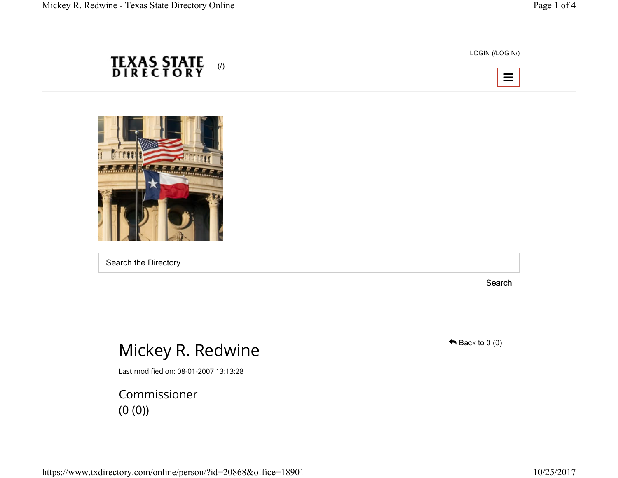LOGIN (/LOGIN/)





**TEXAS STATE**<br>DIRECTORY

(/)

Search the Directory

Search

## Mickey R. Redwine

Last modified on: 08-01-2007 13:13:28

Commissioner (0 (0))

 $\bigoplus$  Back to 0 (0)

https://www.txdirectory.com/online/person/?id=20868&office=18901 10/25/2017